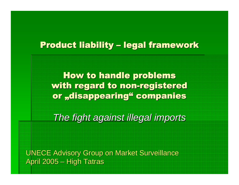## Product liability – legal framework

How to handle problems<br>'h regard to non-register with regard to non-registered or "disappearing" companies

The fight against illegal imports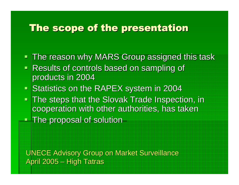# The scope of the presentation

- The reason why MARS Group assigned this task
- Results of controls based on sampling of products in 2004
- **Statistics on the RAPEX system in 2004**<br>- The stars that the Claugh Trade Increast  $\blacksquare$
- **The steps that the Slovak Trade Inspection, in** cooperation with other authorities, has taken **- The proposal of solution**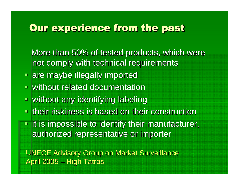# Our experience from the past

More than 50% of tested products, which were not comply with technical requirements

- **Pare maybe illegally imported**
- **E** without related documentation
- $\blacksquare$ without any identifying labeling
- **E** their riskiness is based on their construction
- $\blacksquare$  it is impossible to identify their manufacturer, authorized representative or importer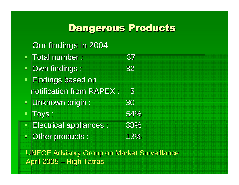# Dangerous Products

#### Our findings in 2004

- $\blacksquare$ Total number : 37  $\blacksquare$  Own findings : 32  $\blacksquare$ ■ Findings based on notification from RAPEX : 5<br>..  $\blacksquare$  Unknown origin : 30  $\blacksquare$ Toys : s : 54%  $s: 33%$ Electrical appliances
- s : 13%  $\Box$ **Other products:**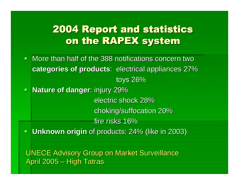## 2004 Report and statisticson the RAPEX system

- $\blacksquare$  More than half of the 388 notifications concern two **categories of products**: electrical appliances 27%toys 26%
- $\blacksquare$  **Nature of danger**: injury 29% electric shock 28% choking/suffocation 20%fire risks 16%
- **Unknown origin** of products: 24% (like in 2003) $\Box$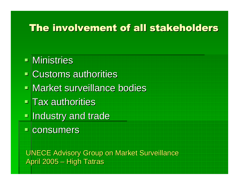# The involvement of all stakeholders

## Ministries

- Customs authorities
- Market surveillance bodies
- $\blacksquare$  Tax authorities
- $\blacksquare$ **<u>■ Industry and trade</u>**
- consumers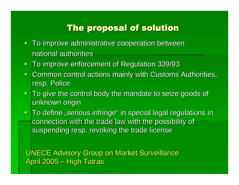## The proposal of solution

- To improve administrative cooperation between national authorities
- $\blacksquare$ To improve enforcement of Regulation 339/93
- $\blacksquare$ Common control actions mainly with Customs Authorities, resp. Police
- $\blacksquare$ **To give the control body the mandate to seize goods of** unknown origin
- $\blacksquare$  $\blacksquare$  To define "serious infringe" in special legal regulations in connection with the trade law with the possibility of<br>suspending race, revolving the trade liesness suspending resp. revoking the trade license